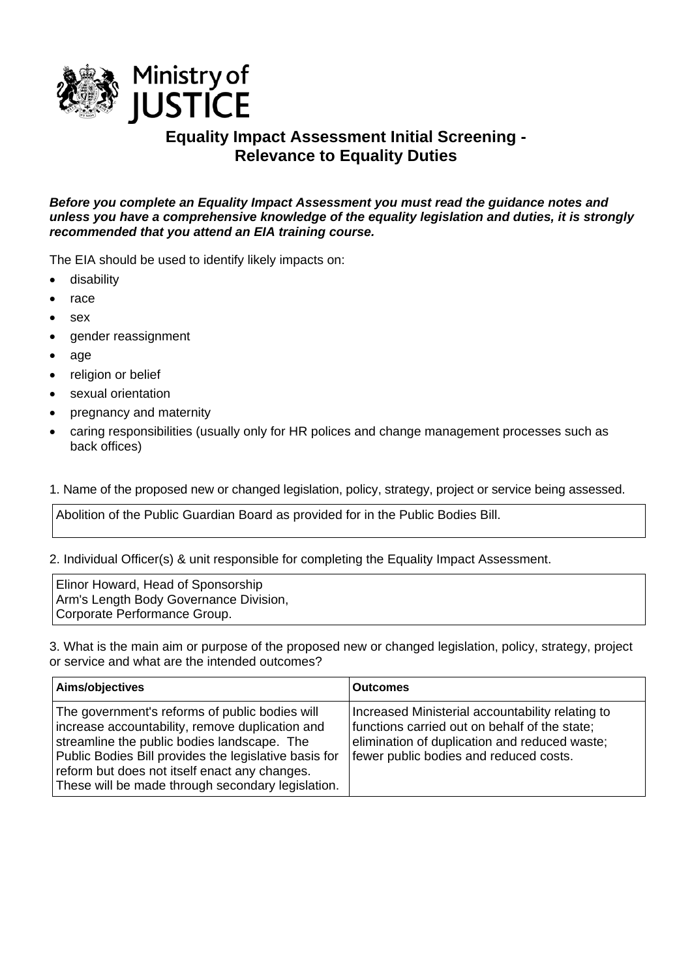

## **Equality Impact Assessment Initial Screening - Relevance to Equality Duties**

*Before you complete an Equality Impact Assessment you must read the guidance notes and unless you have a comprehensive knowledge of the equality legislation and duties, it is strongly recommended that you attend an EIA training course.* 

The EIA should be used to identify likely impacts on:

- disability
- race
- sex
- gender reassignment
- age
- religion or belief
- sexual orientation
- pregnancy and maternity
- caring responsibilities (usually only for HR polices and change management processes such as back offices)

1. Name of the proposed new or changed legislation, policy, strategy, project or service being assessed.

Abolition of the Public Guardian Board as provided for in the Public Bodies Bill.

2. Individual Officer(s) & unit responsible for completing the Equality Impact Assessment.

Elinor Howard, Head of Sponsorship Arm's Length Body Governance Division, Corporate Performance Group.

3. What is the main aim or purpose of the proposed new or changed legislation, policy, strategy, project or service and what are the intended outcomes?

| Aims/objectives                                                                                                                                                                                                                                                                                                 | <b>Outcomes</b>                                                                                                                                                                              |
|-----------------------------------------------------------------------------------------------------------------------------------------------------------------------------------------------------------------------------------------------------------------------------------------------------------------|----------------------------------------------------------------------------------------------------------------------------------------------------------------------------------------------|
| The government's reforms of public bodies will<br>increase accountability, remove duplication and<br>streamline the public bodies landscape. The<br>Public Bodies Bill provides the legislative basis for<br>reform but does not itself enact any changes.<br>These will be made through secondary legislation. | Increased Ministerial accountability relating to<br>functions carried out on behalf of the state;<br>elimination of duplication and reduced waste;<br>fewer public bodies and reduced costs. |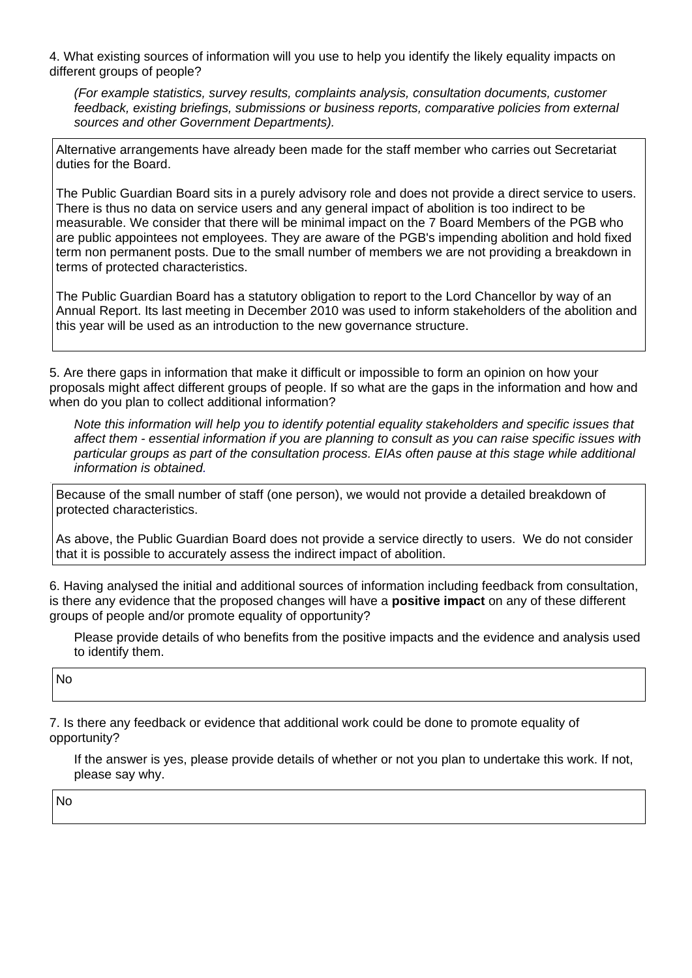4. What existing sources of information will you use to help you identify the likely equality impacts on different groups of people?

*(For example statistics, survey results, complaints analysis, consultation documents, customer feedback, existing briefings, submissions or business reports, comparative policies from external sources and other Government Departments).* 

Alternative arrangements have already been made for the staff member who carries out Secretariat duties for the Board.

The Public Guardian Board sits in a purely advisory role and does not provide a direct service to users. There is thus no data on service users and any general impact of abolition is too indirect to be measurable. We consider that there will be minimal impact on the 7 Board Members of the PGB who are public appointees not employees. They are aware of the PGB's impending abolition and hold fixed term non permanent posts. Due to the small number of members we are not providing a breakdown in terms of protected characteristics.

The Public Guardian Board has a statutory obligation to report to the Lord Chancellor by way of an Annual Report. Its last meeting in December 2010 was used to inform stakeholders of the abolition and this year will be used as an introduction to the new governance structure.

5. Are there gaps in information that make it difficult or impossible to form an opinion on how your proposals might affect different groups of people. If so what are the gaps in the information and how and when do you plan to collect additional information?

*Note this information will help you to identify potential equality stakeholders and specific issues that affect them - essential information if you are planning to consult as you can raise specific issues with particular groups as part of the consultation process. EIAs often pause at this stage while additional information is obtained.*

Because of the small number of staff (one person), we would not provide a detailed breakdown of protected characteristics.

As above, the Public Guardian Board does not provide a service directly to users. We do not consider that it is possible to accurately assess the indirect impact of abolition.

6. Having analysed the initial and additional sources of information including feedback from consultation, is there any evidence that the proposed changes will have a **positive impact** on any of these different groups of people and/or promote equality of opportunity?

Please provide details of who benefits from the positive impacts and the evidence and analysis used to identify them.

No

7. Is there any feedback or evidence that additional work could be done to promote equality of opportunity?

If the answer is yes, please provide details of whether or not you plan to undertake this work. If not, please say why.

No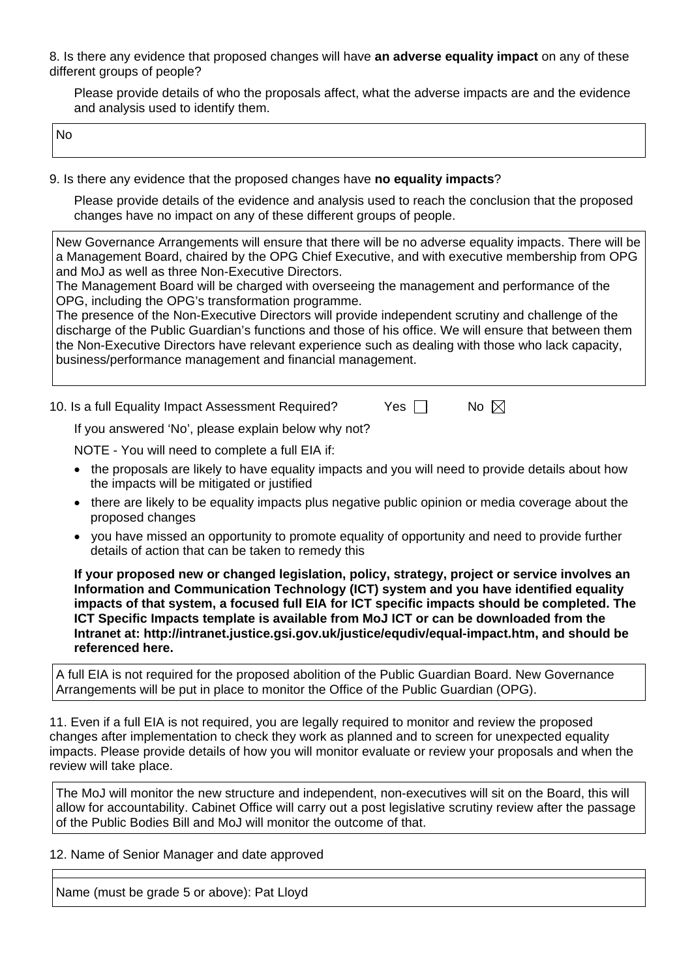8. Is there any evidence that proposed changes will have **an adverse equality impact** on any of these different groups of people?

Please provide details of who the proposals affect, what the adverse impacts are and the evidence and analysis used to identify them.

No

9. Is there any evidence that the proposed changes have **no equality impacts**?

Please provide details of the evidence and analysis used to reach the conclusion that the proposed changes have no impact on any of these different groups of people.

New Governance Arrangements will ensure that there will be no adverse equality impacts. There will be a Management Board, chaired by the OPG Chief Executive, and with executive membership from OPG and MoJ as well as three Non-Executive Directors.

The Management Board will be charged with overseeing the management and performance of the OPG, including the OPG's transformation programme.

The presence of the Non-Executive Directors will provide independent scrutiny and challenge of the discharge of the Public Guardian's functions and those of his office. We will ensure that between them the Non-Executive Directors have relevant experience such as dealing with those who lack capacity, business/performance management and financial management.

10. Is a full Equality Impact Assessment Required?  $\qquad \qquad$  Yes  $\Box \qquad$  No  $\boxtimes$ 

If you answered 'No', please explain below why not?

NOTE - You will need to complete a full EIA if:

- the proposals are likely to have equality impacts and you will need to provide details about how the impacts will be mitigated or justified
- there are likely to be equality impacts plus negative public opinion or media coverage about the proposed changes
- you have missed an opportunity to promote equality of opportunity and need to provide further details of action that can be taken to remedy this

**If your proposed new or changed legislation, policy, strategy, project or service involves an Information and Communication Technology (ICT) system and you have identified equality impacts of that system, a focused full EIA for ICT specific impacts should be completed. The ICT Specific Impacts template is available from MoJ ICT or can be downloaded from the Intranet at: <http://intranet.justice.gsi.gov.uk/justice/equdiv/equal-impact.htm>, and should be referenced here.** 

A full EIA is not required for the proposed abolition of the Public Guardian Board. New Governance Arrangements will be put in place to monitor the Office of the Public Guardian (OPG).

11. Even if a full EIA is not required, you are legally required to monitor and review the proposed changes after implementation to check they work as planned and to screen for unexpected equality impacts. Please provide details of how you will monitor evaluate or review your proposals and when the review will take place.

The MoJ will monitor the new structure and independent, non-executives will sit on the Board, this will allow for accountability. Cabinet Office will carry out a post legislative scrutiny review after the passage of the Public Bodies Bill and MoJ will monitor the outcome of that.

12. Name of Senior Manager and date approved

Name (must be grade 5 or above): Pat Lloyd